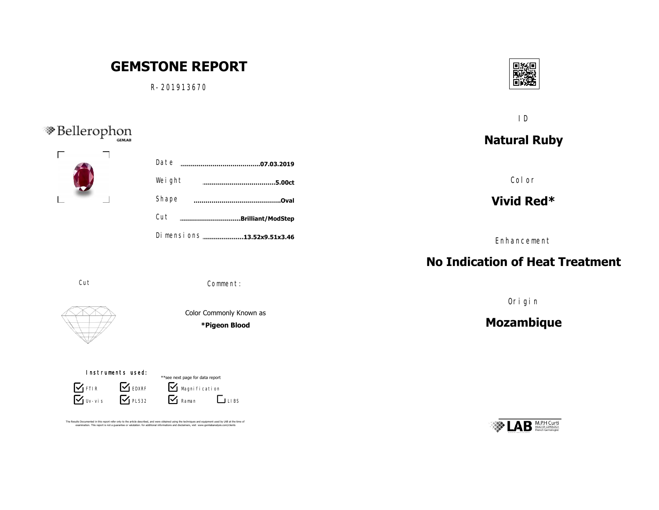## **GEMSTONE REPORT** n R-201913670 ID <sup>S</sup>Bellerophon **Natural Ruby** R-201913670 A.jpg S-3403A.jpg S-3403A.jpgS-3403A.jpg Date **……………………………………………………………….07.03.2019**  $S_{\rm 3}$ S-3403A.jpgS-3403A.jpg Color S-3403A.jpgS-3403A.jpg Weight **………………………………………………………………………………5.00ct** S-3403A.jpgS-3403A.jpg S-3403A.jpgS-3403A.jpg S-3403A.jpgS-3403A.jpg Shape **Vivid Red\* ……………………………………..Oval** Cut **………………………….Brilliant/ModStep** Dimensions .....................13.52x9.51x3.46 Enhancement **No Indication of Heat Treatment** Cut Comment: Origin Color Commonly Known as **Mozambique \*Pigeon Blood** Picture 30 Instruments used: \*\*see next page for data report **S** FTIR **S** EDXRF  $\mathbf{V}$  Magni fication  $\nabla$  Uv-vis  $\nabla$  PL532  $\mathbf{V}$  Raman **LIBS** The Results Documented in this report refer only to the article described, and were obtained using the techniques and equipment used by LAB at the time of<br>examination. This report is not a quarantee or valutation. for addi

**M.P.H Curti**<br>HEAD OF GEMOLOGY

回报同